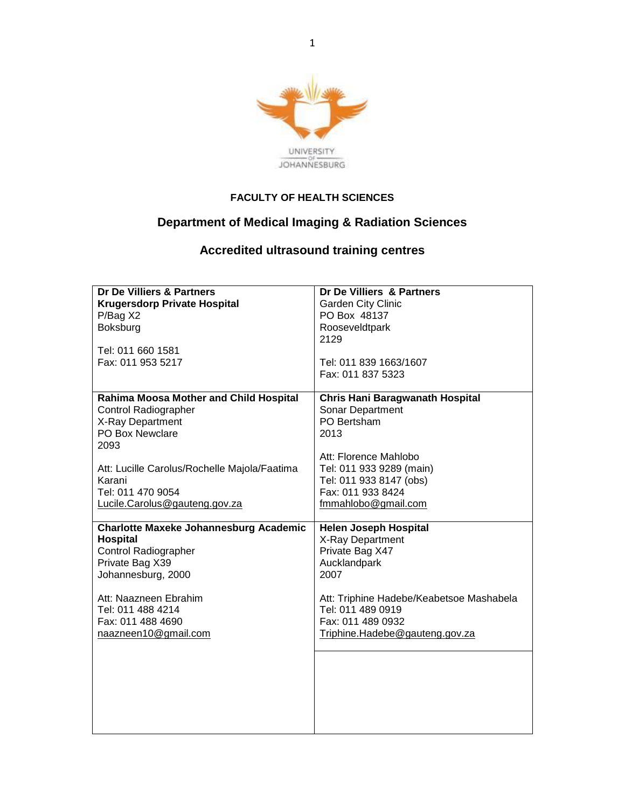

## **FACULTY OF HEALTH SCIENCES**

## **Department of Medical Imaging & Radiation Sciences**

## **Accredited ultrasound training centres**

| Dr De Villiers & Partners                     | Dr De Villiers & Partners                |
|-----------------------------------------------|------------------------------------------|
|                                               |                                          |
| <b>Krugersdorp Private Hospital</b>           | <b>Garden City Clinic</b>                |
| P/Bag X2                                      | PO Box 48137                             |
| Boksburg                                      | Rooseveldtpark                           |
|                                               | 2129                                     |
| Tel: 011 660 1581                             |                                          |
| Fax: 011 953 5217                             | Tel: 011 839 1663/1607                   |
|                                               | Fax: 011 837 5323                        |
|                                               |                                          |
| Rahima Moosa Mother and Child Hospital        | Chris Hani Baragwanath Hospital          |
| <b>Control Radiographer</b>                   | Sonar Department                         |
|                                               |                                          |
| X-Ray Department                              | PO Bertsham                              |
| PO Box Newclare                               | 2013                                     |
| 2093                                          |                                          |
|                                               | Att: Florence Mahlobo                    |
| Att: Lucille Carolus/Rochelle Majola/Faatima  | Tel: 011 933 9289 (main)                 |
| Karani                                        | Tel: 011 933 8147 (obs)                  |
| Tel: 011 470 9054                             | Fax: 011 933 8424                        |
| Lucile.Carolus@gauteng.gov.za                 | fmmahlobo@gmail.com                      |
|                                               |                                          |
| <b>Charlotte Maxeke Johannesburg Academic</b> | <b>Helen Joseph Hospital</b>             |
|                                               |                                          |
| <b>Hospital</b>                               | X-Ray Department                         |
| <b>Control Radiographer</b>                   | Private Bag X47                          |
| Private Bag X39                               | Aucklandpark                             |
| Johannesburg, 2000                            | 2007                                     |
|                                               |                                          |
| Att: Naazneen Ebrahim                         | Att: Triphine Hadebe/Keabetsoe Mashabela |
| Tel: 011 488 4214                             | Tel: 011 489 0919                        |
| Fax: 011 488 4690                             | Fax: 011 489 0932                        |
|                                               |                                          |
| naazneen10@gmail.com                          | Triphine.Hadebe@gauteng.gov.za           |
|                                               |                                          |
|                                               |                                          |
|                                               |                                          |
|                                               |                                          |
|                                               |                                          |
|                                               |                                          |
|                                               |                                          |
|                                               |                                          |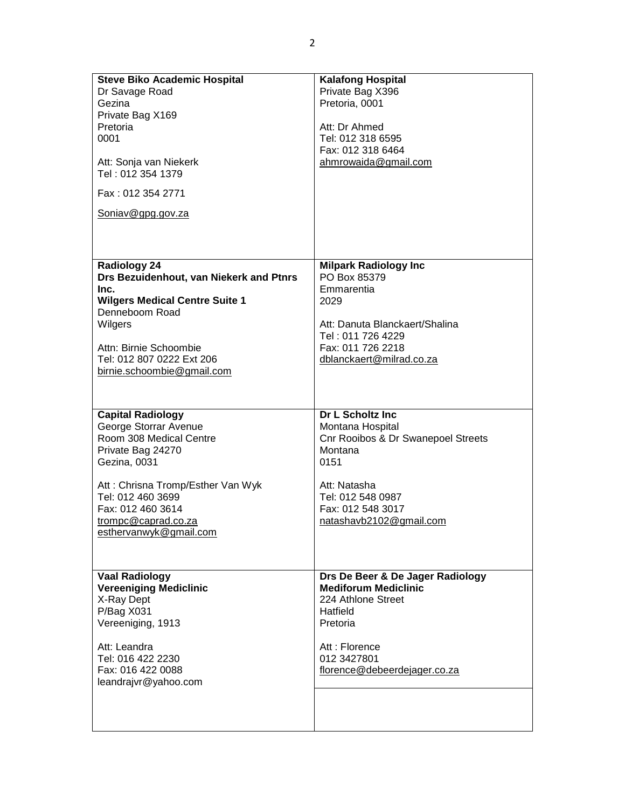| <b>Steve Biko Academic Hospital</b><br>Dr Savage Road<br>Gezina<br>Private Bag X169<br>Pretoria<br>0001<br>Att: Sonja van Niekerk<br>Tel: 012 354 1379<br>Fax: 012 354 2771<br>Soniav@gpg.gov.za                                                  | <b>Kalafong Hospital</b><br>Private Bag X396<br>Pretoria, 0001<br>Att: Dr Ahmed<br>Tel: 012 318 6595<br>Fax: 012 318 6464<br>ahmrowaida@gmail.com                                  |
|---------------------------------------------------------------------------------------------------------------------------------------------------------------------------------------------------------------------------------------------------|------------------------------------------------------------------------------------------------------------------------------------------------------------------------------------|
| <b>Radiology 24</b><br>Drs Bezuidenhout, van Niekerk and Ptnrs<br>Inc.<br><b>Wilgers Medical Centre Suite 1</b><br>Denneboom Road<br>Wilgers<br>Attn: Birnie Schoombie<br>Tel: 012 807 0222 Ext 206<br>birnie.schoombie@gmail.com                 | <b>Milpark Radiology Inc</b><br>PO Box 85379<br>Emmarentia<br>2029<br>Att: Danuta Blanckaert/Shalina<br>Tel: 011 726 4229<br>Fax: 011 726 2218<br>dblanckaert@milrad.co.za         |
| <b>Capital Radiology</b><br>George Storrar Avenue<br>Room 308 Medical Centre<br>Private Bag 24270<br>Gezina, 0031<br>Att: Chrisna Tromp/Esther Van Wyk<br>Tel: 012 460 3699<br>Fax: 012 460 3614<br>trompc@caprad.co.za<br>esthervanwyk@gmail.com | Dr L Scholtz Inc<br>Montana Hospital<br>Cnr Rooibos & Dr Swanepoel Streets<br>Montana<br>0151<br>Att: Natasha<br>Tel: 012 548 0987<br>Fax: 012 548 3017<br>natashavb2102@gmail.com |
| <b>Vaal Radiology</b><br><b>Vereeniging Mediclinic</b><br>X-Ray Dept<br>P/Bag X031<br>Vereeniging, 1913<br>Att: Leandra<br>Tel: 016 422 2230<br>Fax: 016 422 0088<br>leandrajvr@yahoo.com                                                         | Drs De Beer & De Jager Radiology<br><b>Mediforum Mediclinic</b><br>224 Athlone Street<br>Hatfield<br>Pretoria<br>Att: Florence<br>012 3427801<br>florence@debeerdejager.co.za      |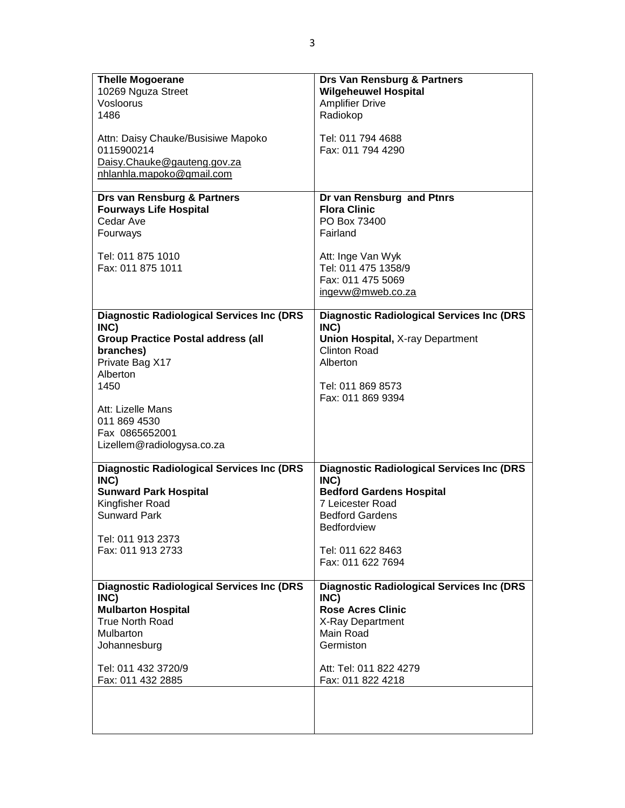| <b>Thelle Mogoerane</b>                          | Drs Van Rensburg & Partners                       |
|--------------------------------------------------|---------------------------------------------------|
| 10269 Nguza Street                               | <b>Wilgeheuwel Hospital</b>                       |
| Vosloorus                                        | <b>Amplifier Drive</b>                            |
| 1486                                             | Radiokop                                          |
|                                                  |                                                   |
| Attn: Daisy Chauke/Busisiwe Mapoko<br>0115900214 | Tel: 011 794 4688<br>Fax: 011 794 4290            |
| Daisy.Chauke@gauteng.gov.za                      |                                                   |
| nhlanhla.mapoko@gmail.com                        |                                                   |
|                                                  |                                                   |
| Drs van Rensburg & Partners                      | Dr van Rensburg and Ptnrs                         |
| <b>Fourways Life Hospital</b>                    | <b>Flora Clinic</b>                               |
| Cedar Ave                                        | PO Box 73400                                      |
| Fourways                                         | Fairland                                          |
| Tel: 011 875 1010                                | Att: Inge Van Wyk                                 |
| Fax: 011 875 1011                                | Tel: 011 475 1358/9                               |
|                                                  | Fax: 011 475 5069                                 |
|                                                  | ingevw@mweb.co.za                                 |
|                                                  |                                                   |
| <b>Diagnostic Radiological Services Inc (DRS</b> | <b>Diagnostic Radiological Services Inc (DRS</b>  |
| INC)                                             | INC)                                              |
| <b>Group Practice Postal address (all</b>        | <b>Union Hospital, X-ray Department</b>           |
| branches)                                        | <b>Clinton Road</b>                               |
| Private Bag X17                                  | Alberton                                          |
| Alberton                                         |                                                   |
| 1450                                             | Tel: 011 869 8573<br>Fax: 011 869 9394            |
| Att: Lizelle Mans                                |                                                   |
| 011 869 4530                                     |                                                   |
| Fax 0865652001                                   |                                                   |
| Lizellem@radiologysa.co.za                       |                                                   |
|                                                  |                                                   |
| <b>Diagnostic Radiological Services Inc (DRS</b> | <b>Diagnostic Radiological Services Inc (DRS</b>  |
| INC)                                             | INC)                                              |
| <b>Sunward Park Hospital</b>                     | <b>Bedford Gardens Hospital</b>                   |
| Kingfisher Road<br><b>Sunward Park</b>           | <b>7 Leicester Road</b><br><b>Bedford Gardens</b> |
|                                                  | Bedfordview                                       |
| Tel: 011 913 2373                                |                                                   |
| Fax: 011 913 2733                                | Tel: 011 622 8463                                 |
|                                                  | Fax: 011 622 7694                                 |
|                                                  |                                                   |
| <b>Diagnostic Radiological Services Inc (DRS</b> | <b>Diagnostic Radiological Services Inc (DRS</b>  |
| INC)                                             | INC)                                              |
| <b>Mulbarton Hospital</b>                        | <b>Rose Acres Clinic</b>                          |
| <b>True North Road</b>                           | X-Ray Department<br>Main Road                     |
| Mulbarton                                        | Germiston                                         |
| Johannesburg                                     |                                                   |
| Tel: 011 432 3720/9                              | Att: Tel: 011 822 4279                            |
| Fax: 011 432 2885                                | Fax: 011 822 4218                                 |
|                                                  |                                                   |
|                                                  |                                                   |
|                                                  |                                                   |
|                                                  |                                                   |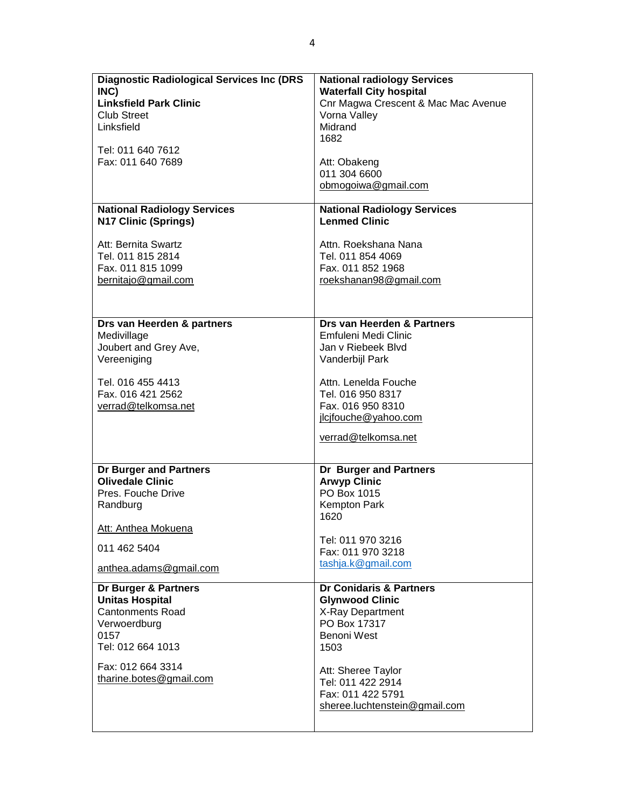| <b>Diagnostic Radiological Services Inc (DRS</b>                                    | <b>National radiology Services</b>                                                                            |
|-------------------------------------------------------------------------------------|---------------------------------------------------------------------------------------------------------------|
| INC)                                                                                | <b>Waterfall City hospital</b>                                                                                |
| <b>Linksfield Park Clinic</b>                                                       | Cnr Magwa Crescent & Mac Mac Avenue                                                                           |
| <b>Club Street</b>                                                                  | Vorna Valley                                                                                                  |
| Linksfield                                                                          | Midrand                                                                                                       |
| Tel: 011 640 7612                                                                   | 1682                                                                                                          |
| Fax: 011 640 7689                                                                   | Att: Obakeng<br>011 304 6600<br>obmogoiwa@gmail.com                                                           |
| <b>National Radiology Services</b>                                                  | <b>National Radiology Services</b>                                                                            |
| N17 Clinic (Springs)                                                                | <b>Lenmed Clinic</b>                                                                                          |
| Att: Bernita Swartz                                                                 | Attn. Roekshana Nana                                                                                          |
| Tel. 011 815 2814                                                                   | Tel. 011 854 4069                                                                                             |
| Fax. 011 815 1099                                                                   | Fax. 011 852 1968                                                                                             |
| bernitajo@gmail.com                                                                 | roekshanan98@gmail.com                                                                                        |
| Drs van Heerden & partners                                                          | Drs van Heerden & Partners                                                                                    |
| Medivillage                                                                         | Emfuleni Medi Clinic                                                                                          |
| Joubert and Grey Ave,                                                               | Jan v Riebeek Blyd                                                                                            |
| Vereeniging                                                                         | Vanderbijl Park                                                                                               |
| Tel. 016 455 4413<br>Fax. 016 421 2562<br>verrad@telkomsa.net                       | Attn. Lenelda Fouche<br>Tel. 016 950 8317<br>Fax. 016 950 8310<br>ilcifouche@yahoo.com<br>verrad@telkomsa.net |
| Dr Burger and Partners<br><b>Olivedale Clinic</b><br>Pres. Fouche Drive<br>Randburg | Dr Burger and Partners<br><b>Arwyp Clinic</b><br>PO Box 1015<br>Kempton Park<br>1620                          |
| Att: Anthea Mokuena                                                                 | Tel: 011 970 3216                                                                                             |
| 011 462 5404                                                                        | Fax: 011 970 3218                                                                                             |
| anthea.adams@gmail.com                                                              | tashja.k@gmail.com                                                                                            |
| Dr Burger & Partners                                                                | Dr Conidaris & Partners                                                                                       |
| <b>Unitas Hospital</b>                                                              | <b>Glynwood Clinic</b>                                                                                        |
| <b>Cantonments Road</b>                                                             | X-Ray Department                                                                                              |
| Verwoerdburg                                                                        | PO Box 17317                                                                                                  |
| 0157                                                                                | Benoni West                                                                                                   |
| Tel: 012 664 1013                                                                   | 1503                                                                                                          |
| Fax: 012 664 3314<br>tharine.botes@gmail.com                                        | Att: Sheree Taylor<br>Tel: 011 422 2914<br>Fax: 011 422 5791<br>sheree.luchtenstein@gmail.com                 |